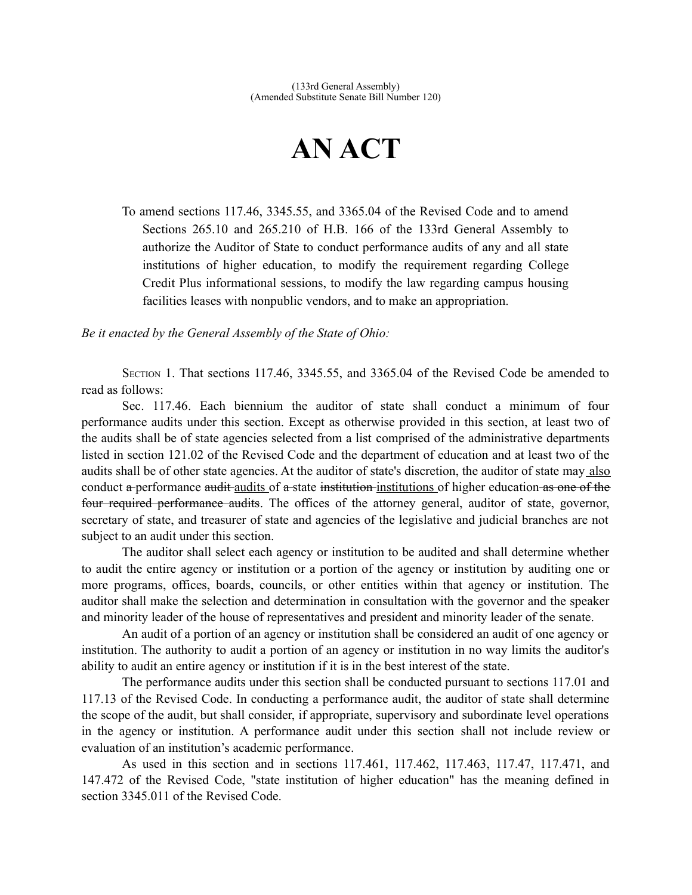## **AN ACT**

To amend sections 117.46, 3345.55, and 3365.04 of the Revised Code and to amend Sections 265.10 and 265.210 of H.B. 166 of the 133rd General Assembly to authorize the Auditor of State to conduct performance audits of any and all state institutions of higher education, to modify the requirement regarding College Credit Plus informational sessions, to modify the law regarding campus housing facilities leases with nonpublic vendors, and to make an appropriation.

*Be it enacted by the General Assembly of the State of Ohio:*

SECTION 1. That sections 117.46, 3345.55, and 3365.04 of the Revised Code be amended to read as follows:

Sec. 117.46. Each biennium the auditor of state shall conduct a minimum of four performance audits under this section. Except as otherwise provided in this section, at least two of the audits shall be of state agencies selected from a list comprised of the administrative departments listed in section 121.02 of the Revised Code and the department of education and at least two of the audits shall be of other state agencies. At the auditor of state's discretion, the auditor of state may also conduct a performance audit audits of a state institution institutions of higher education as one of the four required performance audits. The offices of the attorney general, auditor of state, governor, secretary of state, and treasurer of state and agencies of the legislative and judicial branches are not subject to an audit under this section.

The auditor shall select each agency or institution to be audited and shall determine whether to audit the entire agency or institution or a portion of the agency or institution by auditing one or more programs, offices, boards, councils, or other entities within that agency or institution. The auditor shall make the selection and determination in consultation with the governor and the speaker and minority leader of the house of representatives and president and minority leader of the senate.

An audit of a portion of an agency or institution shall be considered an audit of one agency or institution. The authority to audit a portion of an agency or institution in no way limits the auditor's ability to audit an entire agency or institution if it is in the best interest of the state.

The performance audits under this section shall be conducted pursuant to sections 117.01 and 117.13 of the Revised Code. In conducting a performance audit, the auditor of state shall determine the scope of the audit, but shall consider, if appropriate, supervisory and subordinate level operations in the agency or institution. A performance audit under this section shall not include review or evaluation of an institution's academic performance.

As used in this section and in sections 117.461, 117.462, 117.463, 117.47, 117.471, and 147.472 of the Revised Code, "state institution of higher education" has the meaning defined in section 3345.011 of the Revised Code.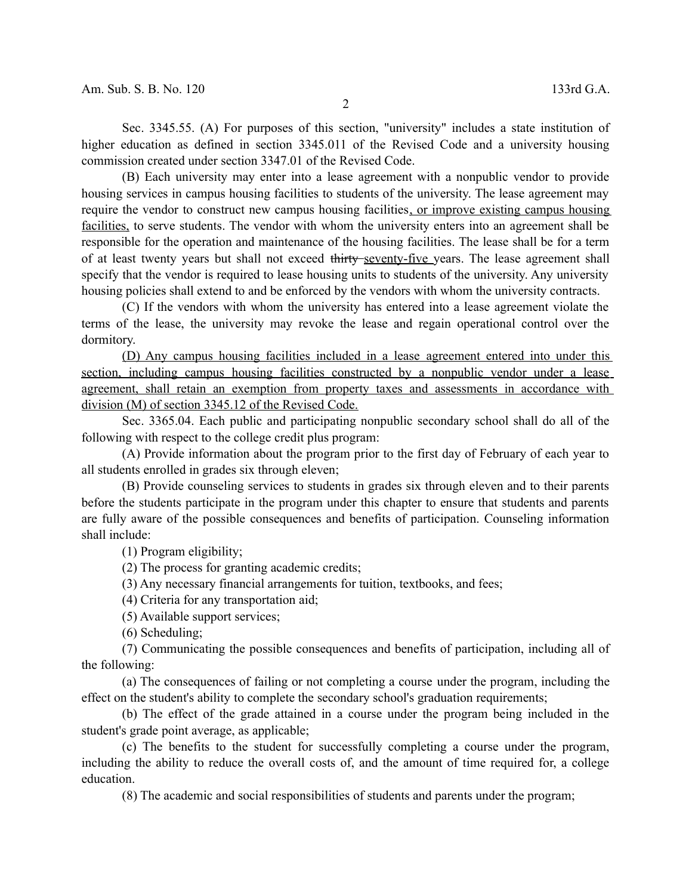Sec. 3345.55. (A) For purposes of this section, "university" includes a state institution of higher education as defined in section 3345.011 of the Revised Code and a university housing commission created under section 3347.01 of the Revised Code.

(B) Each university may enter into a lease agreement with a nonpublic vendor to provide housing services in campus housing facilities to students of the university. The lease agreement may require the vendor to construct new campus housing facilities, or improve existing campus housing facilities, to serve students. The vendor with whom the university enters into an agreement shall be responsible for the operation and maintenance of the housing facilities. The lease shall be for a term of at least twenty years but shall not exceed thirty seventy-five years. The lease agreement shall specify that the vendor is required to lease housing units to students of the university. Any university housing policies shall extend to and be enforced by the vendors with whom the university contracts.

(C) If the vendors with whom the university has entered into a lease agreement violate the terms of the lease, the university may revoke the lease and regain operational control over the dormitory.

 (D) Any campus housing facilities included in a lease agreement entered into under this section, including campus housing facilities constructed by a nonpublic vendor under a lease agreement, shall retain an exemption from property taxes and assessments in accordance with division (M) of section 3345.12 of the Revised Code.

Sec. 3365.04. Each public and participating nonpublic secondary school shall do all of the following with respect to the college credit plus program:

(A) Provide information about the program prior to the first day of February of each year to all students enrolled in grades six through eleven;

(B) Provide counseling services to students in grades six through eleven and to their parents before the students participate in the program under this chapter to ensure that students and parents are fully aware of the possible consequences and benefits of participation. Counseling information shall include:

(1) Program eligibility;

(2) The process for granting academic credits;

(3) Any necessary financial arrangements for tuition, textbooks, and fees;

(4) Criteria for any transportation aid;

(5) Available support services;

(6) Scheduling;

(7) Communicating the possible consequences and benefits of participation, including all of the following:

(a) The consequences of failing or not completing a course under the program, including the effect on the student's ability to complete the secondary school's graduation requirements;

(b) The effect of the grade attained in a course under the program being included in the student's grade point average, as applicable;

(c) The benefits to the student for successfully completing a course under the program, including the ability to reduce the overall costs of, and the amount of time required for, a college education.

(8) The academic and social responsibilities of students and parents under the program;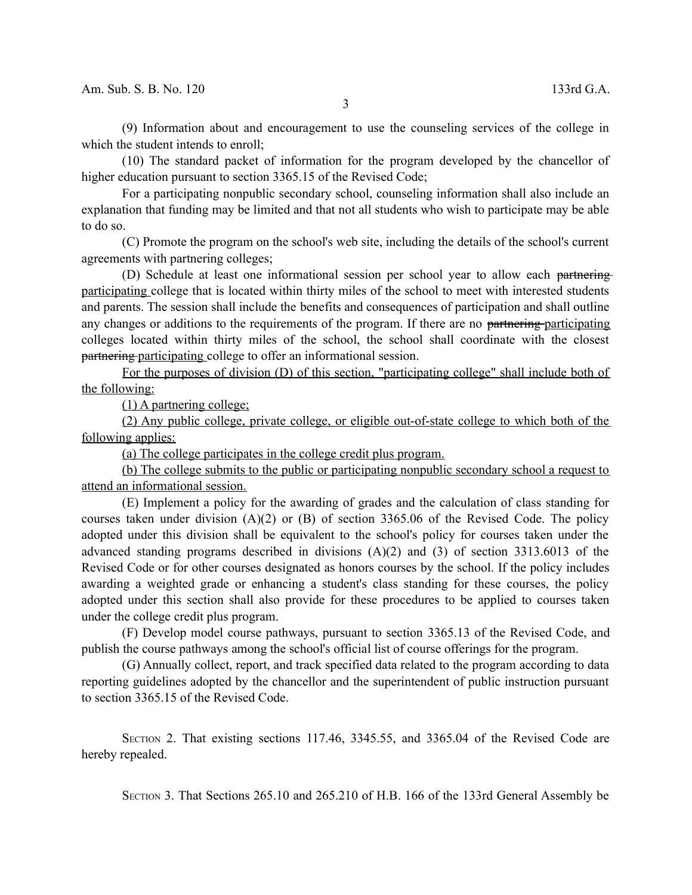(9) Information about and encouragement to use the counseling services of the college in which the student intends to enroll;

(10) The standard packet of information for the program developed by the chancellor of higher education pursuant to section 3365.15 of the Revised Code;

For a participating nonpublic secondary school, counseling information shall also include an explanation that funding may be limited and that not all students who wish to participate may be able to do so.

(C) Promote the program on the school's web site, including the details of the school's current agreements with partnering colleges;

(D) Schedule at least one informational session per school year to allow each partnering participating college that is located within thirty miles of the school to meet with interested students and parents. The session shall include the benefits and consequences of participation and shall outline any changes or additions to the requirements of the program. If there are no partnering participating colleges located within thirty miles of the school, the school shall coordinate with the closest partnering participating college to offer an informational session.

For the purposes of division (D) of this section, "participating college" shall include both of the following:

(1) A partnering college;

(2) Any public college, private college, or eligible out-of-state college to which both of the following applies:

(a) The college participates in the college credit plus program.

(b) The college submits to the public or participating nonpublic secondary school a request to attend an informational session.

(E) Implement a policy for the awarding of grades and the calculation of class standing for courses taken under division (A)(2) or (B) of section 3365.06 of the Revised Code. The policy adopted under this division shall be equivalent to the school's policy for courses taken under the advanced standing programs described in divisions (A)(2) and (3) of section 3313.6013 of the Revised Code or for other courses designated as honors courses by the school. If the policy includes awarding a weighted grade or enhancing a student's class standing for these courses, the policy adopted under this section shall also provide for these procedures to be applied to courses taken under the college credit plus program.

(F) Develop model course pathways, pursuant to section 3365.13 of the Revised Code, and publish the course pathways among the school's official list of course offerings for the program.

(G) Annually collect, report, and track specified data related to the program according to data reporting guidelines adopted by the chancellor and the superintendent of public instruction pursuant to section 3365.15 of the Revised Code.

SECTION 2. That existing sections 117.46, 3345.55, and 3365.04 of the Revised Code are hereby repealed.

SECTION 3. That Sections 265.10 and 265.210 of H.B. 166 of the 133rd General Assembly be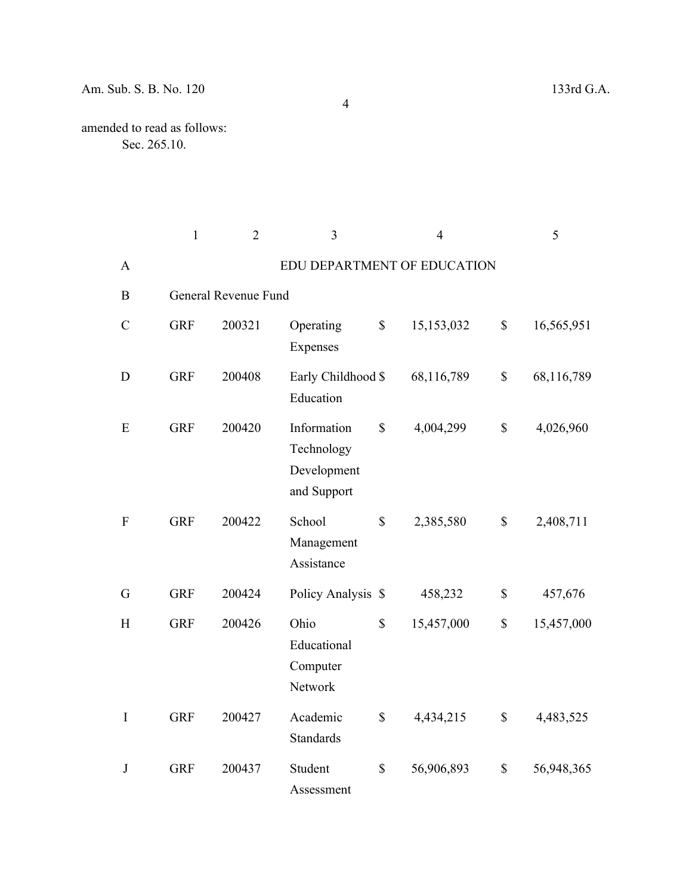|                           | $\mathbf{1}$ | $\overline{2}$       | $\overline{3}$                                          | $\overline{4}$   |                           | 5          |
|---------------------------|--------------|----------------------|---------------------------------------------------------|------------------|---------------------------|------------|
| A                         |              |                      | EDU DEPARTMENT OF EDUCATION                             |                  |                           |            |
| $\boldsymbol{B}$          |              | General Revenue Fund |                                                         |                  |                           |            |
| $\mathcal{C}$             | <b>GRF</b>   | 200321               | Operating<br>Expenses                                   | \$<br>15,153,032 | $\boldsymbol{\mathsf{S}}$ | 16,565,951 |
| D                         | <b>GRF</b>   | 200408               | Early Childhood \$<br>Education                         | 68,116,789       | $\mathbb{S}$              | 68,116,789 |
| E                         | <b>GRF</b>   | 200420               | Information<br>Technology<br>Development<br>and Support | \$<br>4,004,299  | $\mathbb{S}$              | 4,026,960  |
| $\boldsymbol{\mathrm{F}}$ | <b>GRF</b>   | 200422               | School<br>Management<br>Assistance                      | \$<br>2,385,580  | \$                        | 2,408,711  |
| G                         | <b>GRF</b>   | 200424               | Policy Analysis \$                                      | 458,232          | $\mathbb{S}$              | 457,676    |
| H                         | <b>GRF</b>   | 200426               | Ohio<br>Educational<br>Computer<br>Network              | \$<br>15,457,000 | $\mathbb{S}$              | 15,457,000 |
| $\mathbf I$               | <b>GRF</b>   | 200427               | Academic<br><b>Standards</b>                            | \$<br>4,434,215  | $\mathbb{S}$              | 4,483,525  |
| J                         | <b>GRF</b>   | 200437               | Student<br>Assessment                                   | \$<br>56,906,893 | \$                        | 56,948,365 |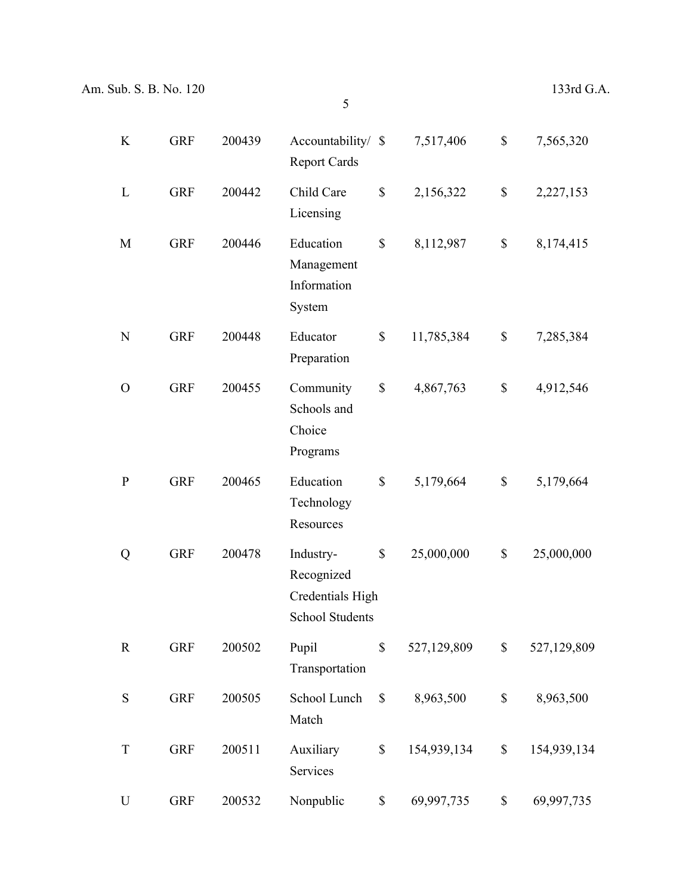K GRF 200439 Accountability/ \$ Report Cards \$ 7,517,406 \$ 7,565,320 L GRF 200442 Child Care Licensing \$ 2,156,322 \$ 2,227,153 M GRF 200446 Education Management Information System \$ 8,112,987 \$ 8,174,415 N GRF 200448 Educator Preparation \$ 11,785,384 \$ 7,285,384 O GRF 200455 Community Schools and Choice Programs \$ 4,867,763 \$ 4,912,546 P GRF 200465 Education Technology **Resources** \$ 5,179,664 \$ 5,179,664 Q GRF 200478 Industry-Recognized Credentials High School Students \$ 25,000,000 \$ 25,000,000 R GRF 200502 Pupil Transportation \$ 527,129,809 \$ 527,129,809 S GRF 200505 School Lunch Match \$ 8,963,500 \$ 8,963,500 T GRF 200511 Auxiliary Services \$ 154,939,134 \$ 154,939,134 U GRF 200532 Nonpublic \$ 69,997,735 \$ 69,997,735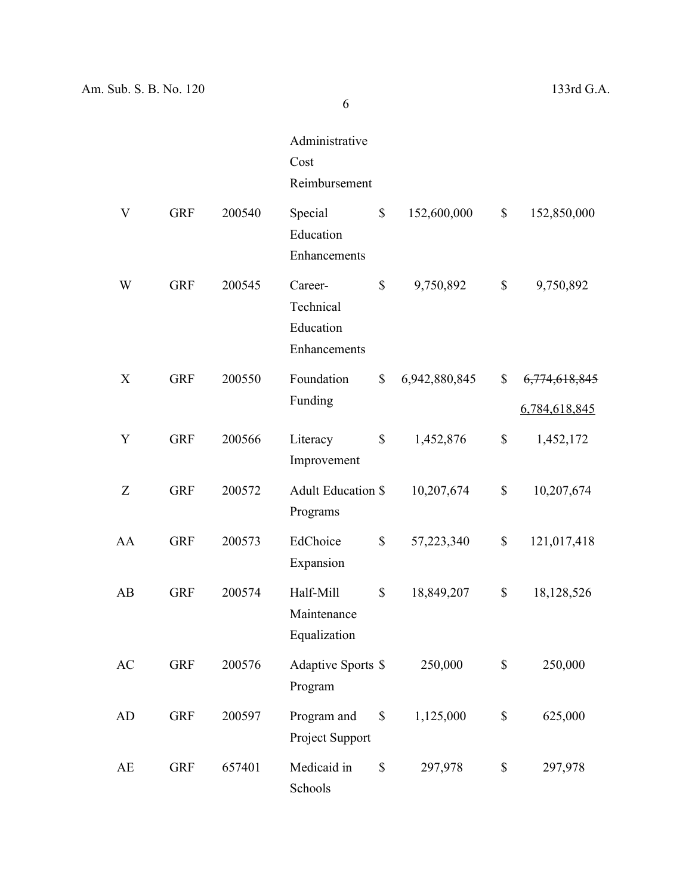|    |            |        | Administrative<br>Cost<br>Reimbursement           |                     |                     |
|----|------------|--------|---------------------------------------------------|---------------------|---------------------|
| V  | <b>GRF</b> | 200540 | Special<br>Education<br>Enhancements              | \$<br>152,600,000   | \$<br>152,850,000   |
| W  | <b>GRF</b> | 200545 | Career-<br>Technical<br>Education<br>Enhancements | \$<br>9,750,892     | \$<br>9,750,892     |
| X  | <b>GRF</b> | 200550 | Foundation                                        | \$<br>6,942,880,845 | \$<br>6,774,618,845 |
|    |            |        | Funding                                           |                     | 6,784,618,845       |
| Y  | <b>GRF</b> | 200566 | Literacy<br>Improvement                           | \$<br>1,452,876     | \$<br>1,452,172     |
| Z  | <b>GRF</b> | 200572 | <b>Adult Education \$</b><br>Programs             | 10,207,674          | \$<br>10,207,674    |
| AA | <b>GRF</b> | 200573 | EdChoice<br>Expansion                             | \$<br>57,223,340    | \$<br>121,017,418   |
| AB | <b>GRF</b> | 200574 | Half-Mill<br>Maintenance<br>Equalization          | \$<br>18,849,207    | \$<br>18,128,526    |
| AC | <b>GRF</b> | 200576 | Adaptive Sports \$<br>Program                     | 250,000             | \$<br>250,000       |
| AD | <b>GRF</b> | 200597 | Program and<br>Project Support                    | \$<br>1,125,000     | \$<br>625,000       |
| AE | <b>GRF</b> | 657401 | Medicaid in<br>Schools                            | \$<br>297,978       | \$<br>297,978       |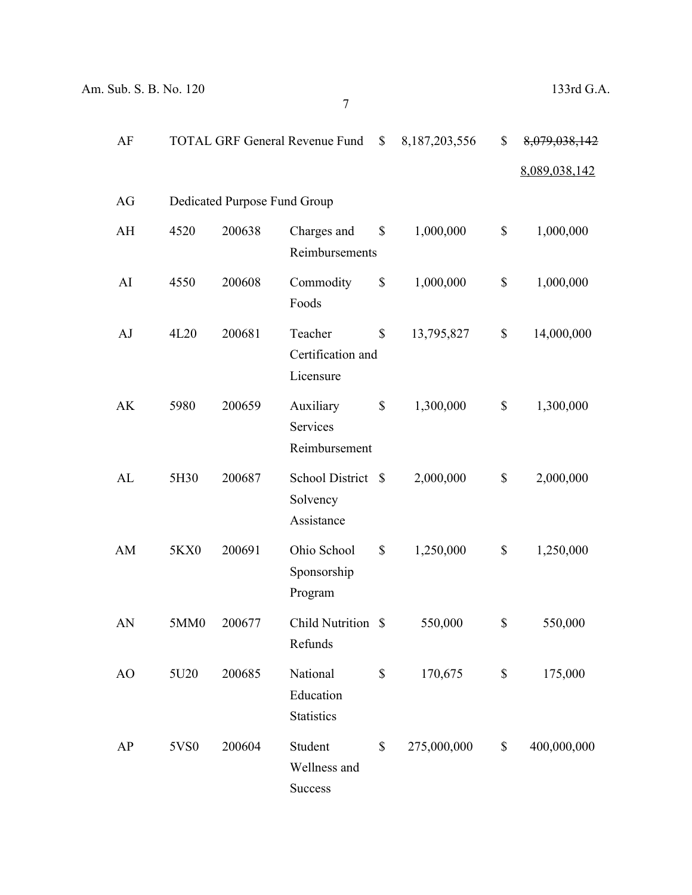| AF |      |                              | <b>TOTAL GRF General Revenue Fund</b>            | \$           | 8, 187, 203, 556 | \$                        | 8,079,038,142 |
|----|------|------------------------------|--------------------------------------------------|--------------|------------------|---------------------------|---------------|
|    |      |                              |                                                  |              |                  |                           | 8,089,038,142 |
| AG |      | Dedicated Purpose Fund Group |                                                  |              |                  |                           |               |
| AH | 4520 | 200638                       | Charges and<br>Reimbursements                    | \$           | 1,000,000        | \$                        | 1,000,000     |
| AI | 4550 | 200608                       | Commodity<br>Foods                               | \$           | 1,000,000        | \$                        | 1,000,000     |
| AJ | 4L20 | 200681                       | Teacher<br>Certification and<br>Licensure        | \$           | 13,795,827       | \$                        | 14,000,000    |
| AK | 5980 | 200659                       | Auxiliary<br>Services<br>Reimbursement           | $\mathbb{S}$ | 1,300,000        | \$                        | 1,300,000     |
| AL | 5H30 | 200687                       | <b>School District</b><br>Solvency<br>Assistance | $\mathbb{S}$ | 2,000,000        | \$                        | 2,000,000     |
| AM | 5KX0 | 200691                       | Ohio School<br>Sponsorship<br>Program            | \$           | 1,250,000        | \$                        | 1,250,000     |
| AN | 5MM0 | 200677                       | <b>Child Nutrition</b><br>Refunds                | $\mathbb{S}$ | 550,000          | \$                        | 550,000       |
| AO | 5U20 | 200685                       | National<br>Education<br><b>Statistics</b>       | $\mathbb{S}$ | 170,675          | $\boldsymbol{\mathsf{S}}$ | 175,000       |
| AP | 5VS0 | 200604                       | Student<br>Wellness and<br>Success               | \$           | 275,000,000      | $\mathbb{S}$              | 400,000,000   |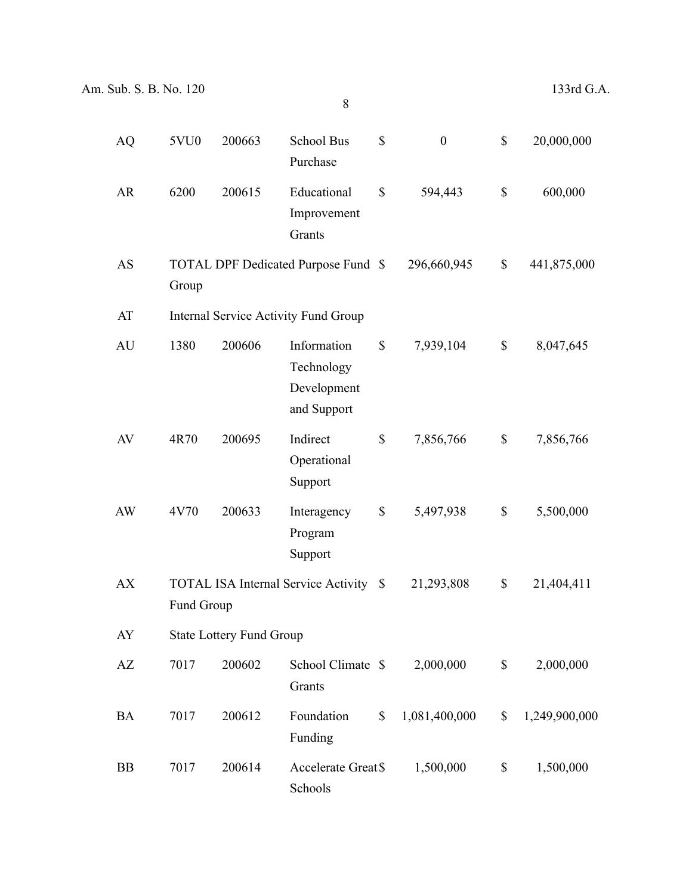| <b>AQ</b> | 5VU0       | 200663                          | School Bus<br>Purchase                                  | \$           | $\boldsymbol{0}$ | \$<br>20,000,000    |
|-----------|------------|---------------------------------|---------------------------------------------------------|--------------|------------------|---------------------|
| <b>AR</b> | 6200       | 200615                          | Educational<br>Improvement<br>Grants                    | \$           | 594,443          | \$<br>600,000       |
| AS        | Group      |                                 | TOTAL DPF Dedicated Purpose Fund \$                     |              | 296,660,945      | \$<br>441,875,000   |
| AT        |            |                                 | <b>Internal Service Activity Fund Group</b>             |              |                  |                     |
| AU        | 1380       | 200606                          | Information<br>Technology<br>Development<br>and Support | \$           | 7,939,104        | \$<br>8,047,645     |
| AV        | 4R70       | 200695                          | Indirect<br>Operational<br>Support                      | \$           | 7,856,766        | \$<br>7,856,766     |
| AW        | 4V70       | 200633                          | Interagency<br>Program<br>Support                       | \$           | 5,497,938        | \$<br>5,500,000     |
| <b>AX</b> | Fund Group |                                 | <b>TOTAL ISA Internal Service Activity</b>              | $\mathbb{S}$ | 21,293,808       | \$<br>21,404,411    |
| AY        |            | <b>State Lottery Fund Group</b> |                                                         |              |                  |                     |
| AZ        | 7017       | 200602                          | School Climate \$<br>Grants                             |              | 2,000,000        | \$<br>2,000,000     |
| BA        | 7017       | 200612                          | Foundation<br>Funding                                   | $\mathbb{S}$ | 1,081,400,000    | \$<br>1,249,900,000 |
| <b>BB</b> | 7017       | 200614                          | Accelerate Great \$<br>Schools                          |              | 1,500,000        | \$<br>1,500,000     |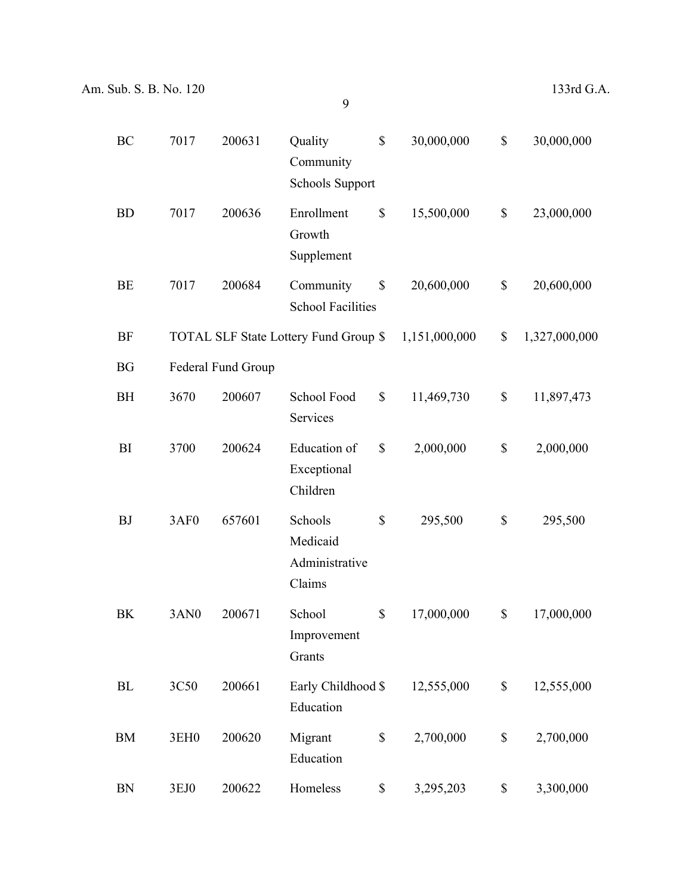| BC        | 7017             | 200631             | Quality<br>Community<br><b>Schools Support</b>  | $\mathbb{S}$              | 30,000,000    | \$<br>30,000,000    |
|-----------|------------------|--------------------|-------------------------------------------------|---------------------------|---------------|---------------------|
| <b>BD</b> | 7017             | 200636             | Enrollment<br>Growth<br>Supplement              | \$                        | 15,500,000    | \$<br>23,000,000    |
| BE        | 7017             | 200684             | Community<br><b>School Facilities</b>           | \$                        | 20,600,000    | \$<br>20,600,000    |
| <b>BF</b> |                  |                    | TOTAL SLF State Lottery Fund Group \$           |                           | 1,151,000,000 | \$<br>1,327,000,000 |
| <b>BG</b> |                  | Federal Fund Group |                                                 |                           |               |                     |
| <b>BH</b> | 3670             | 200607             | School Food<br>Services                         | $\boldsymbol{\mathsf{S}}$ | 11,469,730    | \$<br>11,897,473    |
| BI        | 3700             | 200624             | Education of<br>Exceptional<br>Children         | \$                        | 2,000,000     | \$<br>2,000,000     |
| <b>BJ</b> | 3AF0             | 657601             | Schools<br>Medicaid<br>Administrative<br>Claims | \$                        | 295,500       | \$<br>295,500       |
| BK        | 3AN <sub>0</sub> | 200671             | School<br>Improvement<br>Grants                 | $\mathbb{S}$              | 17,000,000    | \$<br>17,000,000    |
| BL        | 3C50             | 200661             | Early Childhood \$<br>Education                 |                           | 12,555,000    | \$<br>12,555,000    |
| <b>BM</b> | 3EH <sub>0</sub> | 200620             | Migrant<br>Education                            | $\boldsymbol{\mathsf{S}}$ | 2,700,000     | \$<br>2,700,000     |
| <b>BN</b> | 3EJ0             | 200622             | Homeless                                        | \$                        | 3,295,203     | \$<br>3,300,000     |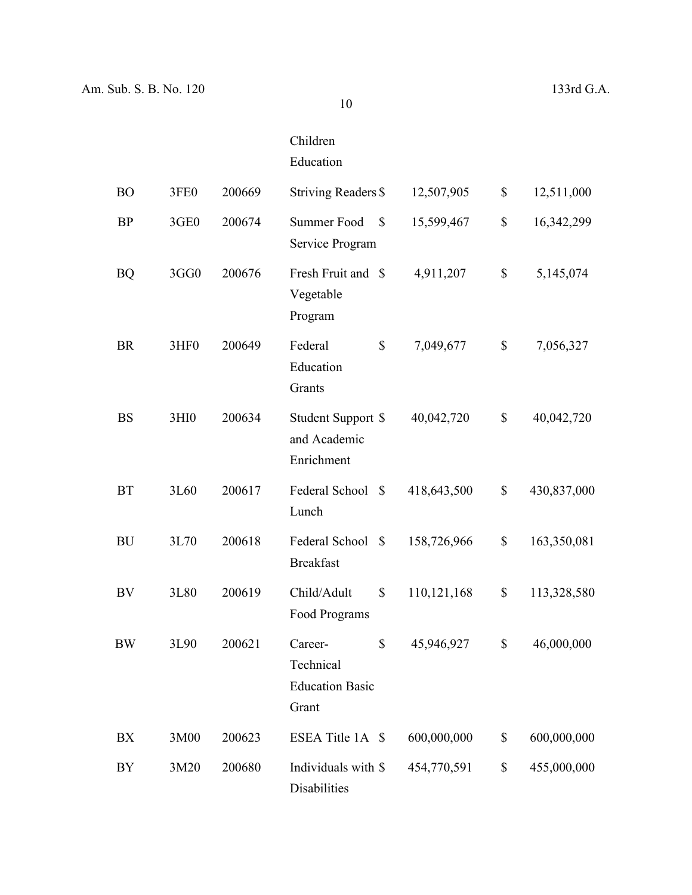## Children Education

| <b>BO</b> | 3FE0             | 200669 | <b>Striving Readers \$</b>                                    | 12,507,905  | \$           | 12,511,000  |
|-----------|------------------|--------|---------------------------------------------------------------|-------------|--------------|-------------|
| <b>BP</b> | 3GE0             | 200674 | Summer Food<br>$\mathbb{S}$<br>Service Program                | 15,599,467  | $\mathbb{S}$ | 16,342,299  |
| <b>BQ</b> | 3GG0             | 200676 | Fresh Fruit and \$<br>Vegetable<br>Program                    | 4,911,207   | \$           | 5,145,074   |
| <b>BR</b> | 3HF <sub>0</sub> | 200649 | \$<br>Federal<br>Education<br>Grants                          | 7,049,677   | \$           | 7,056,327   |
| <b>BS</b> | 3HI <sub>0</sub> | 200634 | Student Support \$<br>and Academic<br>Enrichment              | 40,042,720  | \$           | 40,042,720  |
| <b>BT</b> | 3L60             | 200617 | Federal School<br>$\mathbb{S}$<br>Lunch                       | 418,643,500 | \$           | 430,837,000 |
| <b>BU</b> | 3L70             | 200618 | Federal School<br>- \$<br><b>Breakfast</b>                    | 158,726,966 | \$           | 163,350,081 |
| BV        | 3L80             | 200619 | Child/Adult<br>\$<br>Food Programs                            | 110,121,168 | \$           | 113,328,580 |
| <b>BW</b> | 3L90             | 200621 | \$<br>Career-<br>Technical<br><b>Education Basic</b><br>Grant | 45,946,927  | \$           | 46,000,000  |
| BX        | 3M00             | 200623 | ESEA Title 1A \$                                              | 600,000,000 | \$           | 600,000,000 |
| BY        | 3M20             | 200680 | Individuals with \$<br>Disabilities                           | 454,770,591 | \$           | 455,000,000 |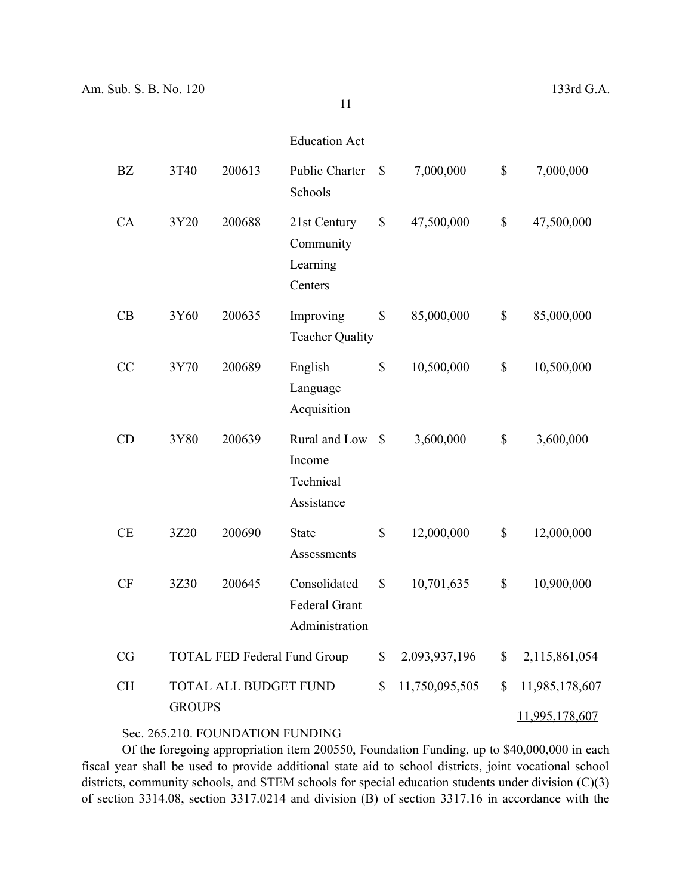Education Act

| <b>BZ</b> | 3T40          | 200613                              | <b>Public Charter</b><br>Schools                       | \$           | 7,000,000      | \$           | 7,000,000      |
|-----------|---------------|-------------------------------------|--------------------------------------------------------|--------------|----------------|--------------|----------------|
| CA        | 3Y20          | 200688                              | 21st Century<br>Community<br>Learning<br>Centers       | \$           | 47,500,000     | $\mathbb{S}$ | 47,500,000     |
| CB        | 3Y60          | 200635                              | Improving<br><b>Teacher Quality</b>                    | \$           | 85,000,000     | $\mathbb{S}$ | 85,000,000     |
| <b>CC</b> | 3Y70          | 200689                              | English<br>Language<br>Acquisition                     | $\mathbb{S}$ | 10,500,000     | $\mathbb{S}$ | 10,500,000     |
| CD        | 3Y80          | 200639                              | Rural and Low<br>Income<br>Technical<br>Assistance     | $\mathbb{S}$ | 3,600,000      | $\mathbb{S}$ | 3,600,000      |
| <b>CE</b> | 3Z20          | 200690                              | <b>State</b><br>Assessments                            | \$           | 12,000,000     | $\mathbb{S}$ | 12,000,000     |
| <b>CF</b> | 3Z30          | 200645                              | Consolidated<br><b>Federal Grant</b><br>Administration | \$           | 10,701,635     | $\mathbb{S}$ | 10,900,000     |
| CG        |               | <b>TOTAL FED Federal Fund Group</b> |                                                        | \$           | 2,093,937,196  | \$           | 2,115,861,054  |
| <b>CH</b> | <b>GROUPS</b> | TOTAL ALL BUDGET FUND               |                                                        | \$           | 11,750,095,505 | \$           | 11,985,178,607 |
|           |               |                                     |                                                        |              |                |              | 11,995,178,607 |

## Sec. 265.210. FOUNDATION FUNDING

Of the foregoing appropriation item 200550, Foundation Funding, up to \$40,000,000 in each fiscal year shall be used to provide additional state aid to school districts, joint vocational school districts, community schools, and STEM schools for special education students under division (C)(3) of section 3314.08, section 3317.0214 and division (B) of section 3317.16 in accordance with the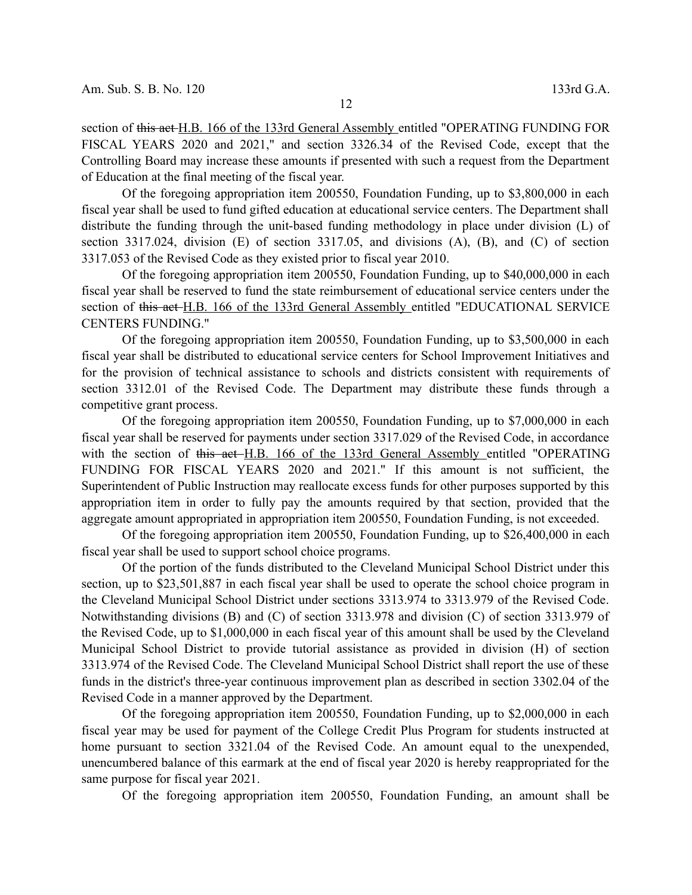section of this act H.B. 166 of the 133rd General Assembly entitled "OPERATING FUNDING FOR FISCAL YEARS 2020 and 2021," and section 3326.34 of the Revised Code, except that the Controlling Board may increase these amounts if presented with such a request from the Department of Education at the final meeting of the fiscal year.

Of the foregoing appropriation item 200550, Foundation Funding, up to \$3,800,000 in each fiscal year shall be used to fund gifted education at educational service centers. The Department shall distribute the funding through the unit-based funding methodology in place under division (L) of section 3317.024, division (E) of section 3317.05, and divisions (A), (B), and (C) of section 3317.053 of the Revised Code as they existed prior to fiscal year 2010.

Of the foregoing appropriation item 200550, Foundation Funding, up to \$40,000,000 in each fiscal year shall be reserved to fund the state reimbursement of educational service centers under the section of this act H.B. 166 of the 133rd General Assembly entitled "EDUCATIONAL SERVICE CENTERS FUNDING."

Of the foregoing appropriation item 200550, Foundation Funding, up to \$3,500,000 in each fiscal year shall be distributed to educational service centers for School Improvement Initiatives and for the provision of technical assistance to schools and districts consistent with requirements of section 3312.01 of the Revised Code. The Department may distribute these funds through a competitive grant process.

Of the foregoing appropriation item 200550, Foundation Funding, up to \$7,000,000 in each fiscal year shall be reserved for payments under section 3317.029 of the Revised Code, in accordance with the section of this act H.B. 166 of the 133rd General Assembly entitled "OPERATING FUNDING FOR FISCAL YEARS 2020 and 2021." If this amount is not sufficient, the Superintendent of Public Instruction may reallocate excess funds for other purposes supported by this appropriation item in order to fully pay the amounts required by that section, provided that the aggregate amount appropriated in appropriation item 200550, Foundation Funding, is not exceeded.

Of the foregoing appropriation item 200550, Foundation Funding, up to \$26,400,000 in each fiscal year shall be used to support school choice programs.

Of the portion of the funds distributed to the Cleveland Municipal School District under this section, up to \$23,501,887 in each fiscal year shall be used to operate the school choice program in the Cleveland Municipal School District under sections 3313.974 to 3313.979 of the Revised Code. Notwithstanding divisions (B) and (C) of section 3313.978 and division (C) of section 3313.979 of the Revised Code, up to \$1,000,000 in each fiscal year of this amount shall be used by the Cleveland Municipal School District to provide tutorial assistance as provided in division (H) of section 3313.974 of the Revised Code. The Cleveland Municipal School District shall report the use of these funds in the district's three-year continuous improvement plan as described in section 3302.04 of the Revised Code in a manner approved by the Department.

Of the foregoing appropriation item 200550, Foundation Funding, up to \$2,000,000 in each fiscal year may be used for payment of the College Credit Plus Program for students instructed at home pursuant to section 3321.04 of the Revised Code. An amount equal to the unexpended, unencumbered balance of this earmark at the end of fiscal year 2020 is hereby reappropriated for the same purpose for fiscal year 2021.

Of the foregoing appropriation item 200550, Foundation Funding, an amount shall be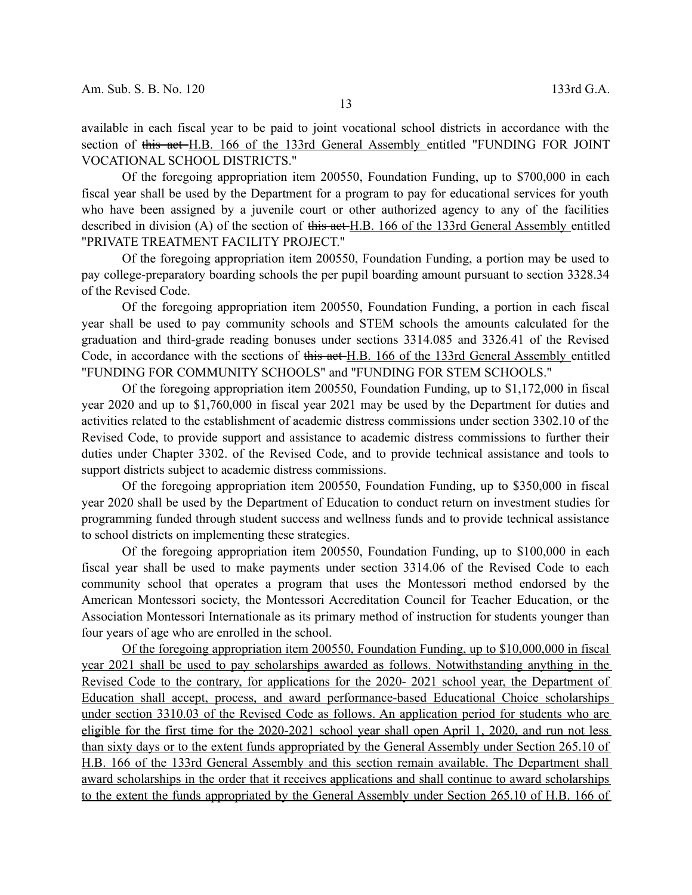available in each fiscal year to be paid to joint vocational school districts in accordance with the section of this act H.B. 166 of the 133rd General Assembly entitled "FUNDING FOR JOINT VOCATIONAL SCHOOL DISTRICTS."

Of the foregoing appropriation item 200550, Foundation Funding, up to \$700,000 in each fiscal year shall be used by the Department for a program to pay for educational services for youth who have been assigned by a juvenile court or other authorized agency to any of the facilities described in division (A) of the section of this act H.B. 166 of the 133rd General Assembly entitled "PRIVATE TREATMENT FACILITY PROJECT."

Of the foregoing appropriation item 200550, Foundation Funding, a portion may be used to pay college-preparatory boarding schools the per pupil boarding amount pursuant to section 3328.34 of the Revised Code.

Of the foregoing appropriation item 200550, Foundation Funding, a portion in each fiscal year shall be used to pay community schools and STEM schools the amounts calculated for the graduation and third-grade reading bonuses under sections 3314.085 and 3326.41 of the Revised Code, in accordance with the sections of this act H.B. 166 of the 133rd General Assembly entitled "FUNDING FOR COMMUNITY SCHOOLS" and "FUNDING FOR STEM SCHOOLS."

Of the foregoing appropriation item 200550, Foundation Funding, up to \$1,172,000 in fiscal year 2020 and up to \$1,760,000 in fiscal year 2021 may be used by the Department for duties and activities related to the establishment of academic distress commissions under section 3302.10 of the Revised Code, to provide support and assistance to academic distress commissions to further their duties under Chapter 3302. of the Revised Code, and to provide technical assistance and tools to support districts subject to academic distress commissions.

Of the foregoing appropriation item 200550, Foundation Funding, up to \$350,000 in fiscal year 2020 shall be used by the Department of Education to conduct return on investment studies for programming funded through student success and wellness funds and to provide technical assistance to school districts on implementing these strategies.

Of the foregoing appropriation item 200550, Foundation Funding, up to \$100,000 in each fiscal year shall be used to make payments under section 3314.06 of the Revised Code to each community school that operates a program that uses the Montessori method endorsed by the American Montessori society, the Montessori Accreditation Council for Teacher Education, or the Association Montessori Internationale as its primary method of instruction for students younger than four years of age who are enrolled in the school.

Of the foregoing appropriation item 200550, Foundation Funding, up to \$10,000,000 in fiscal year 2021 shall be used to pay scholarships awarded as follows. Notwithstanding anything in the Revised Code to the contrary, for applications for the 2020- 2021 school year, the Department of Education shall accept, process, and award performance-based Educational Choice scholarships under section 3310.03 of the Revised Code as follows. An application period for students who are eligible for the first time for the 2020-2021 school year shall open April 1, 2020, and run not less than sixty days or to the extent funds appropriated by the General Assembly under Section 265.10 of H.B. 166 of the 133rd General Assembly and this section remain available. The Department shall award scholarships in the order that it receives applications and shall continue to award scholarships to the extent the funds appropriated by the General Assembly under Section 265.10 of H.B. 166 of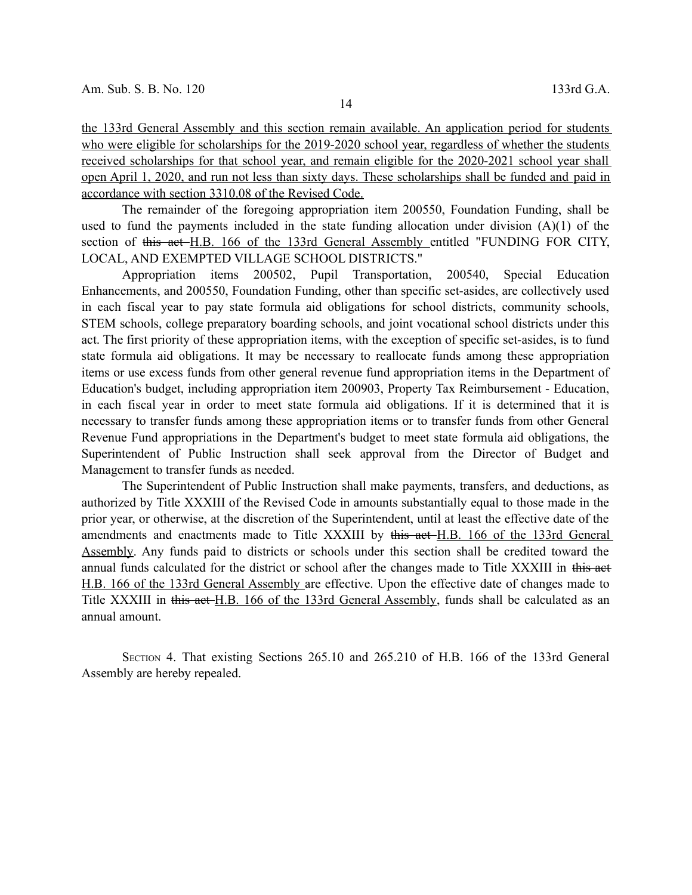the 133rd General Assembly and this section remain available. An application period for students who were eligible for scholarships for the 2019-2020 school year, regardless of whether the students received scholarships for that school year, and remain eligible for the 2020-2021 school year shall open April 1, 2020, and run not less than sixty days. These scholarships shall be funded and paid in accordance with section 3310.08 of the Revised Code.

The remainder of the foregoing appropriation item 200550, Foundation Funding, shall be used to fund the payments included in the state funding allocation under division  $(A)(1)$  of the section of this act H.B. 166 of the 133rd General Assembly entitled "FUNDING FOR CITY, LOCAL, AND EXEMPTED VILLAGE SCHOOL DISTRICTS."

Appropriation items 200502, Pupil Transportation, 200540, Special Education Enhancements, and 200550, Foundation Funding, other than specific set-asides, are collectively used in each fiscal year to pay state formula aid obligations for school districts, community schools, STEM schools, college preparatory boarding schools, and joint vocational school districts under this act. The first priority of these appropriation items, with the exception of specific set-asides, is to fund state formula aid obligations. It may be necessary to reallocate funds among these appropriation items or use excess funds from other general revenue fund appropriation items in the Department of Education's budget, including appropriation item 200903, Property Tax Reimbursement - Education, in each fiscal year in order to meet state formula aid obligations. If it is determined that it is necessary to transfer funds among these appropriation items or to transfer funds from other General Revenue Fund appropriations in the Department's budget to meet state formula aid obligations, the Superintendent of Public Instruction shall seek approval from the Director of Budget and Management to transfer funds as needed.

The Superintendent of Public Instruction shall make payments, transfers, and deductions, as authorized by Title XXXIII of the Revised Code in amounts substantially equal to those made in the prior year, or otherwise, at the discretion of the Superintendent, until at least the effective date of the amendments and enactments made to Title XXXIII by this act H.B. 166 of the 133rd General Assembly. Any funds paid to districts or schools under this section shall be credited toward the annual funds calculated for the district or school after the changes made to Title XXXIII in this act H.B. 166 of the 133rd General Assembly are effective. Upon the effective date of changes made to Title XXXIII in this act H.B. 166 of the 133rd General Assembly, funds shall be calculated as an annual amount.

SECTION 4. That existing Sections 265.10 and 265.210 of H.B. 166 of the 133rd General Assembly are hereby repealed.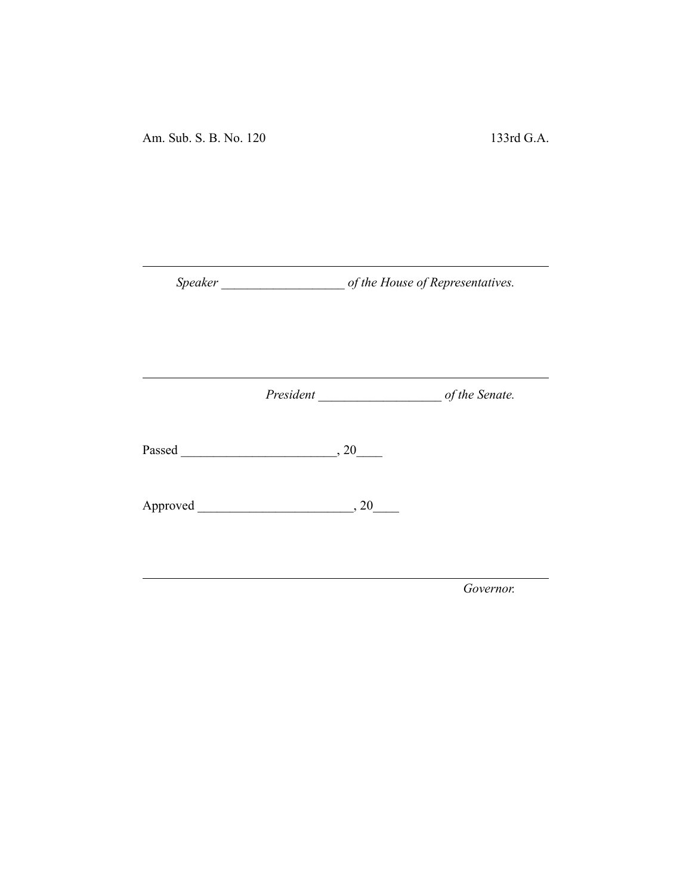Am. Sub. S. B. No. 120 133rd G.A.

*Speaker \_\_\_\_\_\_\_\_\_\_\_\_\_\_\_\_\_\_\_ of the House of Representatives.*

*President \_\_\_\_\_\_\_\_\_\_\_\_\_\_\_\_\_\_\_ of the Senate.*

Passed \_\_\_\_\_\_\_\_\_\_\_\_\_\_\_\_\_\_\_\_\_\_\_\_, 20\_\_\_\_

Approved \_\_\_\_\_\_\_\_\_\_\_\_\_\_\_\_\_\_\_\_\_\_\_\_, 20\_\_\_\_

*Governor.*